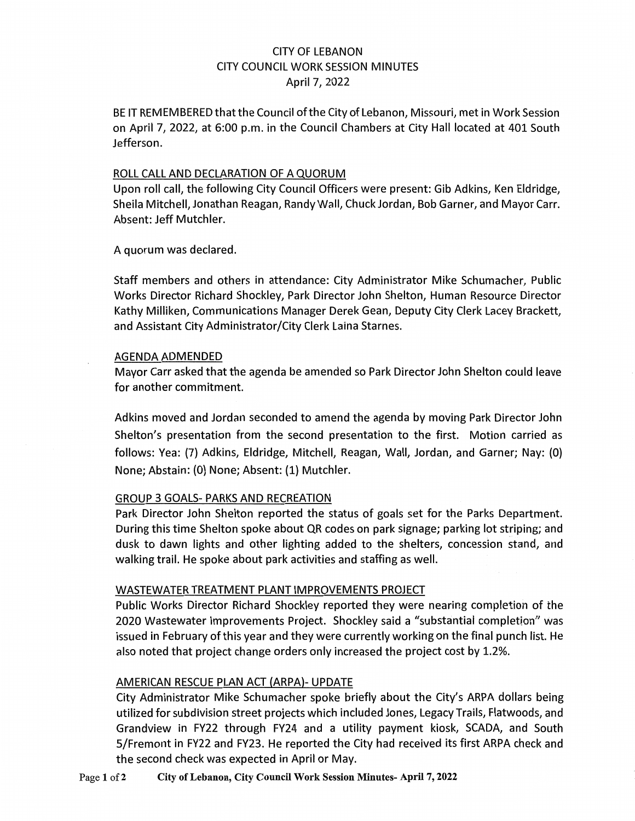# CITY OF LEBANON CITY COUNCIL WORK SESSION MINUTES April 7, 2022

BE IT REMEMBERED that the Council of the City of Lebanon, Missouri, met in Work Session on April 7, 2022, at 6:00 p.m. in the Council Chambers at City Hall located at 401 South Jefferson.

#### ROLL CALL AND DECLARATION OF A QUORUM

Upon roll call, the following City Council Officers were present: Gib Adkins, Ken Eldridge, Sheila Mitchell, Jonathan Reagan, Randy Wall, Chuck Jordan, Bob Garner, and Mayor Carr. Absent: Jeff Mutchler.

A quorum was declared.

Staff members and others in attendance: City Administrator Mike Schumacher, Public Works Director Richard Shockley, Park Director John Shelton, Human Resource Director Kathy Milliken, Communications Manager Derek Gean, Deputy City Clerk Lacey Brackett, and Assistant City Administrator/City Clerk Laina Starnes.

### AGENDA ADMENDED

Mayor Carr asked that the agenda be amended so Park Director John Shelton could leave for another commitment.

Adkins moved and Jordan seconded to amend the agenda by moving Park Director John Shelton's presentation from the second presentation to the first. Motion carried as follows: Yea: (7) Adkins, Eldridge, Mitchell, Reagan, Wall, Jordan, and Garner; Nay: (0) None; Abstain: (0) None; Absent: (1) Mutchler.

### GROUP 3 GOALS- PARKS AND RECREATION

Park Director John Shelton reported the status of goals set for the Parks Department. During this time Shelton spoke about QR codes on park signage; parking lot striping; and dusk to dawn lights and other lighting added to the shelters, concession stand, and walking trail. He spoke about park activities and staffing as well.

### WASTEWATER TREATMENT PLANT IMPROVEMENTS PROJECT

Public Works Director Richard Shockley reported they were nearing completion of the 2020 Wastewater Improvements Project. Shockley said a "substantial completion" was issued in February of this year and they were currently working on the final punch list. He also noted that project change orders only increased the project cost by 1.2%.

### AMERICAN RESCUE PLAN ACT (ARPA)- UPDATE

City Administrator Mike Schumacher spoke briefly about the City's ARPA dollars being utilized for subdivision street projects which included Jones, Legacy Trails, Flatwoods, and Grandview in FY22 through FY24 and a utility payment kiosk, SCADA, and South 5/Fremont in FY22 and FY23. He reported the City had received its first ARPA check and the second check was expected in April or May.